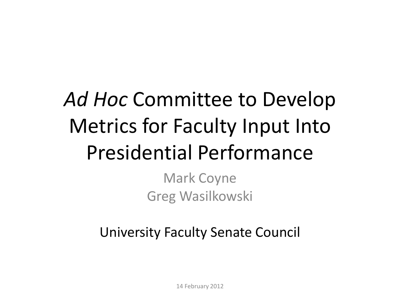### *Ad Hoc* Committee to Develop Metrics for Faculty Input Into Presidential Performance

Mark Coyne Greg Wasilkowski

University Faculty Senate Council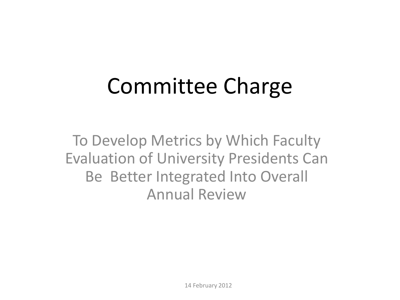## Committee Charge

To Develop Metrics by Which Faculty Evaluation of University Presidents Can Be Better Integrated Into Overall Annual Review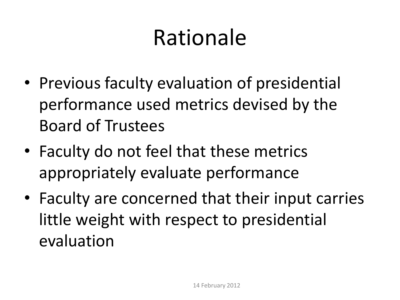## Rationale

- Previous faculty evaluation of presidential performance used metrics devised by the Board of Trustees
- Faculty do not feel that these metrics appropriately evaluate performance
- Faculty are concerned that their input carries little weight with respect to presidential evaluation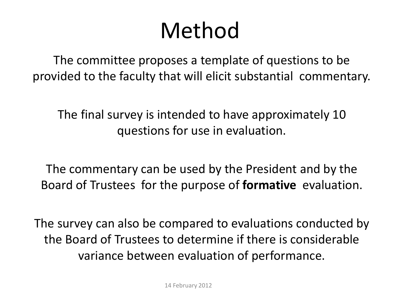### Method

The committee proposes a template of questions to be provided to the faculty that will elicit substantial commentary.

The final survey is intended to have approximately 10 questions for use in evaluation.

The commentary can be used by the President and by the Board of Trustees for the purpose of **formative** evaluation.

The survey can also be compared to evaluations conducted by the Board of Trustees to determine if there is considerable variance between evaluation of performance.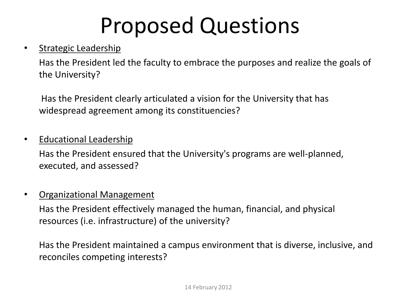## Proposed Questions

### • Strategic Leadership

Has the President led the faculty to embrace the purposes and realize the goals of the University?

Has the President clearly articulated a vision for the University that has widespread agreement among its constituencies?

### • **Educational Leadership**

Has the President ensured that the University's programs are well-planned, executed, and assessed?

#### • Organizational Management

Has the President effectively managed the human, financial, and physical resources (i.e. infrastructure) of the university?

Has the President maintained a campus environment that is diverse, inclusive, and reconciles competing interests?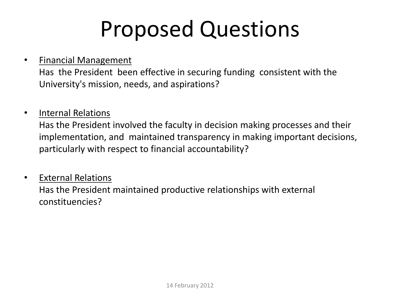## Proposed Questions

• Financial Management

Has the President been effective in securing funding consistent with the University's mission, needs, and aspirations?

• Internal Relations

Has the President involved the faculty in decision making processes and their implementation, and maintained transparency in making important decisions, particularly with respect to financial accountability?

• External Relations Has the President maintained productive relationships with external constituencies?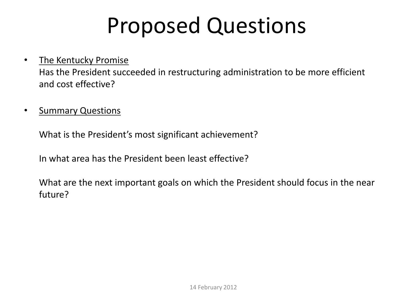### Proposed Questions

- The Kentucky Promise Has the President succeeded in restructuring administration to be more efficient and cost effective?
- Summary Questions

What is the President's most significant achievement?

In what area has the President been least effective?

What are the next important goals on which the President should focus in the near future?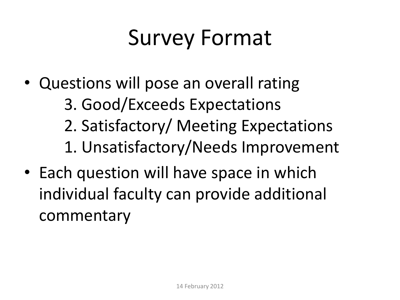# Survey Format

- Questions will pose an overall rating
	- 3. Good/Exceeds Expectations
	- 2. Satisfactory/ Meeting Expectations
	- 1. Unsatisfactory/Needs Improvement
- Each question will have space in which individual faculty can provide additional commentary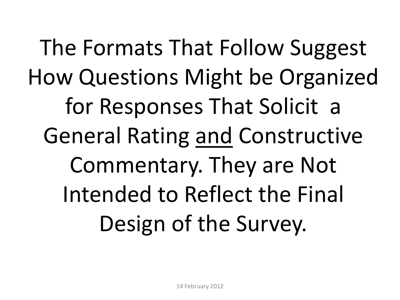The Formats That Follow Suggest How Questions Might be Organized for Responses That Solicit a General Rating and Constructive Commentary. They are Not Intended to Reflect the Final Design of the Survey.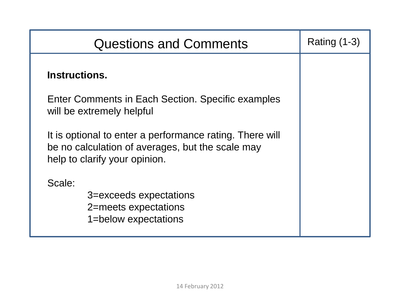| <b>Questions and Comments</b>                                                                                                                 | Rating $(1-3)$ |
|-----------------------------------------------------------------------------------------------------------------------------------------------|----------------|
| Instructions.                                                                                                                                 |                |
| Enter Comments in Each Section. Specific examples<br>will be extremely helpful                                                                |                |
| It is optional to enter a performance rating. There will<br>be no calculation of averages, but the scale may<br>help to clarify your opinion. |                |
| Scale:<br>3=exceeds expectations<br>2=meets expectations<br>1=below expectations                                                              |                |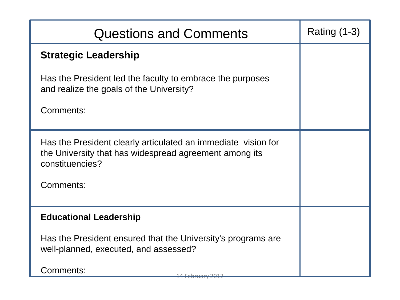| <b>Questions and Comments</b>                                                                                                              | <b>Rating (1-3)</b> |
|--------------------------------------------------------------------------------------------------------------------------------------------|---------------------|
| <b>Strategic Leadership</b>                                                                                                                |                     |
| Has the President led the faculty to embrace the purposes<br>and realize the goals of the University?                                      |                     |
| Comments:                                                                                                                                  |                     |
| Has the President clearly articulated an immediate vision for<br>the University that has widespread agreement among its<br>constituencies? |                     |
| Comments:                                                                                                                                  |                     |
| <b>Educational Leadership</b>                                                                                                              |                     |
| Has the President ensured that the University's programs are<br>well-planned, executed, and assessed?                                      |                     |
| Comments:                                                                                                                                  |                     |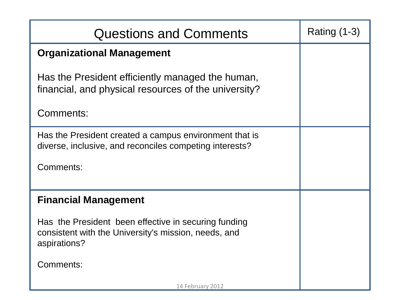| <b>Questions and Comments</b>                                                                                                | Rating $(1-3)$ |
|------------------------------------------------------------------------------------------------------------------------------|----------------|
| <b>Organizational Management</b>                                                                                             |                |
| Has the President efficiently managed the human,<br>financial, and physical resources of the university?                     |                |
| Comments:                                                                                                                    |                |
| Has the President created a campus environment that is<br>diverse, inclusive, and reconciles competing interests?            |                |
| Comments:                                                                                                                    |                |
| <b>Financial Management</b>                                                                                                  |                |
| Has the President been effective in securing funding<br>consistent with the University's mission, needs, and<br>aspirations? |                |
| Comments:                                                                                                                    |                |
| 14 February 2012                                                                                                             |                |